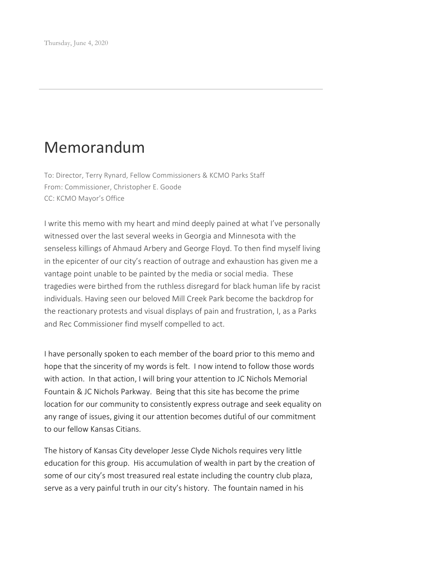## Memorandum

To: Director, Terry Rynard, Fellow Commissioners & KCMO Parks Staff From: Commissioner, Christopher E. Goode CC: KCMO Mayor's Office

I write this memo with my heart and mind deeply pained at what I've personally witnessed over the last several weeks in Georgia and Minnesota with the senseless killings of Ahmaud Arbery and George Floyd. To then find myself living in the epicenter of our city's reaction of outrage and exhaustion has given me a vantage point unable to be painted by the media or social media. These tragedies were birthed from the ruthless disregard for black human life by racist individuals. Having seen our beloved Mill Creek Park become the backdrop for the reactionary protests and visual displays of pain and frustration, I, as a Parks and Rec Commissioner find myself compelled to act.

I have personally spoken to each member of the board prior to this memo and hope that the sincerity of my words is felt. I now intend to follow those words with action. In that action, I will bring your attention to JC Nichols Memorial Fountain & JC Nichols Parkway. Being that this site has become the prime location for our community to consistently express outrage and seek equality on any range of issues, giving it our attention becomes dutiful of our commitment to our fellow Kansas Citians.

The history of Kansas City developer Jesse Clyde Nichols requires very little education for this group. His accumulation of wealth in part by the creation of some of our city's most treasured real estate including the country club plaza, serve as a very painful truth in our city's history. The fountain named in his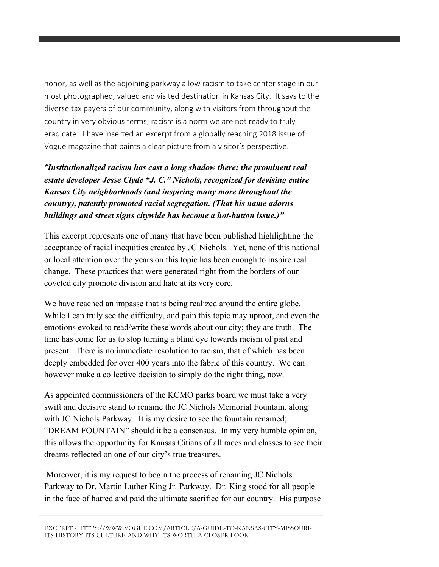honor, as well as the adjoining parkway allow racism to take center stage in our most photographed, valued and visited destination in Kansas City. It says to the diverse tax payers of our community, along with visitors from throughout the country in very obvious terms; racism is a norm we are not ready to truly eradicate. I have inserted an excerpt from a globally reaching 2018 issue of Vogue magazine that paints a clear picture from a visitor's perspective.

*"Institutionalized racism has cast a long shadow there; the prominent real estate developer Jesse Clyde "J. C." Nichols, recognized for devising entire Kansas City neighborhoods (and inspiring many more throughout the country), patently promoted racial segregation. (That his name adorns buildings and street signs citywide has become a hot-button issue.)"*

This excerpt represents one of many that have been published highlighting the acceptance of racial inequities created by JC Nichols. Yet, none of this national or local attention over the years on this topic has been enough to inspire real change. These practices that were generated right from the borders of our coveted city promote division and hate at its very core.

We have reached an impasse that is being realized around the entire globe. While I can truly see the difficulty, and pain this topic may uproot, and even the emotions evoked to read/write these words about our city; they are truth. The time has come for us to stop turning a blind eye towards racism of past and present. There is no immediate resolution to racism, that of which has been deeply embedded for over 400 years into the fabric of this country. We can however make a collective decision to simply do the right thing, now.

As appointed commissioners of the KCMO parks board we must take a very swift and decisive stand to rename the JC Nichols Memorial Fountain, along with JC Nichols Parkway. It is my desire to see the fountain renamed; "DREAM FOUNTAIN" should it be a consensus. In my very humble opinion, this allows the opportunity for Kansas Citians of all races and classes to see their dreams reflected on one of our city's true treasures.

Moreover, it is my request to begin the process of renaming JC Nichols Parkway to Dr. Martin Luther King Jr. Parkway. Dr. King stood for all people in the face of hatred and paid the ultimate sacrifice for our country. His purpose